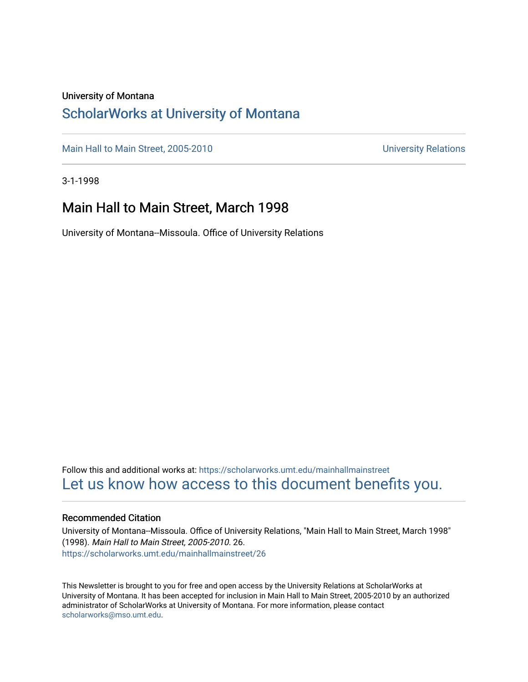#### University of Montana

## [ScholarWorks at University of Montana](https://scholarworks.umt.edu/)

[Main Hall to Main Street, 2005-2010](https://scholarworks.umt.edu/mainhallmainstreet) Main Hall to Main Street, 2005-2010

3-1-1998

## Main Hall to Main Street, March 1998

University of Montana--Missoula. Office of University Relations

Follow this and additional works at: [https://scholarworks.umt.edu/mainhallmainstreet](https://scholarworks.umt.edu/mainhallmainstreet?utm_source=scholarworks.umt.edu%2Fmainhallmainstreet%2F26&utm_medium=PDF&utm_campaign=PDFCoverPages) [Let us know how access to this document benefits you.](https://goo.gl/forms/s2rGfXOLzz71qgsB2) 

#### Recommended Citation

University of Montana--Missoula. Office of University Relations, "Main Hall to Main Street, March 1998" (1998). Main Hall to Main Street, 2005-2010. 26. [https://scholarworks.umt.edu/mainhallmainstreet/26](https://scholarworks.umt.edu/mainhallmainstreet/26?utm_source=scholarworks.umt.edu%2Fmainhallmainstreet%2F26&utm_medium=PDF&utm_campaign=PDFCoverPages) 

This Newsletter is brought to you for free and open access by the University Relations at ScholarWorks at University of Montana. It has been accepted for inclusion in Main Hall to Main Street, 2005-2010 by an authorized administrator of ScholarWorks at University of Montana. For more information, please contact [scholarworks@mso.umt.edu.](mailto:scholarworks@mso.umt.edu)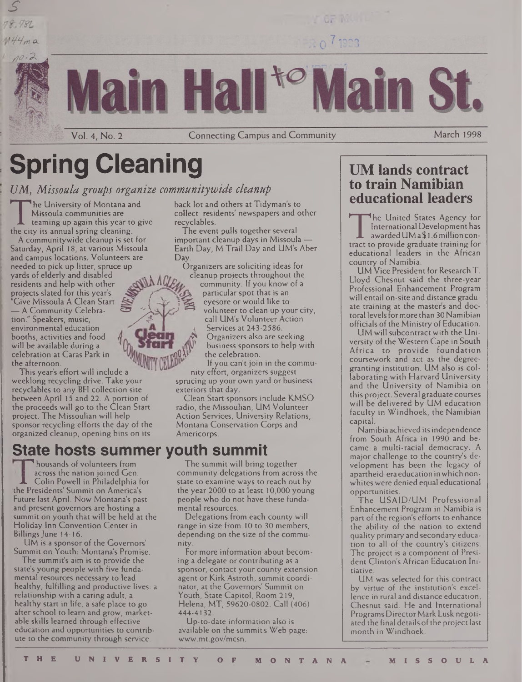# **Spring Cleaning**

Vol. 4, No. 2

## **[/Al,** *Missoula groups organize communitywide cleanup*

The conversity of Montana and<br>
Missoula communities are<br>
teaming up again this year to give<br>
the city its annual spring cleaning.<br>
A community wide cleanup is set for he University of Montana and Missoula communities are teaming up again this year to give

*s*

 $M44m a$ 

A communitywide cleanup is set for Saturday, April 18, at various Missoula and campus locations. Volunteers are needed to pick up litter, spruce up yards of elderly and disabled  $\mathbb{R}^n$ residents and help with other projects slated for this year's { "Give Missoula A Clean Start / — A Community Celebration." Speakers, music, environmental education booths, activities and food  $\sigma$   $\sim$ */£*

will be available during a celebration at Caras Park in the afternoon.

This year's effort will include a weeklong recycling drive. Take your recyclables to any BFI collection site between April 15 and 22. A portion of the proceeds will go to the Clean Start project. The Missoulian will help sponsor recycling efforts the day of the organized cleanup, opening bins on its

# **State hosts summer youth summit**

**p**housands of volunteers from across the nation joined Cen. **A** Colin Powell in Philadelphia for the Presidents' Summit on America's Future last April. Now Montana's past and present governors are hosting a summit on youth that will be held at the Holiday Inn Convention Center in Billings June 14-16.

UM is a sponsor of the Governors' Summit on Youth: Montana's Promise.

The summit's aim is to provide the state's young people with five fundamental resources necessary to lead healthy, fulfilling and productive lives: a relationship with a caring adult, a healthy start in life, a safe place to go after school to learn and grow, marketable skills learned through effective education and opportunities to contribute to the community through service.

back lot and others at Tidyman's to collect residents' newspapers and other recyclables.

**Connecting Campus and Community** 

H.

The event pulls together several important cleanup days in Missoula — Earth Day, M Trail Day and UM's Aber Day.

Organizers are soliciting ideas for cleanup projects throughout the community. If you know of a particular spot that is an eyesore or would like to volunteer to clean up your city, call UM's Volunteer Action Services at 243-2586. Organizers also are seeking business sponsors to help with the celebration.

If you can't join in the community effort, organizers suggest sprucing up your own yard or business

exteriors that day.

Clean Start sponsors include KMSO radio, the Missoulian, UM Volunteer Action Services, University Relations, Montana Conservation Corps and Americorps.

#### The summit will bring together community delegations from across the state to examine ways to reach out by the year 2000 to at least 10,000 young people who do not have these fundamental resources.

Delegations from each county will range in size from 10 to 30 members, depending on the size of the community.

For more information about becoming a delegate or contributing as a sponsor, contact your county extension agent or Kirk Astroth, summit coordinator, at the Governors' Summit on Youth, State Capitol, Room 219, Helena, MT, 59620-0802. Call (406) 444-4132.

Up-to-date information also is available on the summit's Web page: [www.mt.gov/mcsn](http://www.mt.gov/mcsn).

# **UM lands contract to train Namibian educational leaders**

**March 1998** 

The United States Agency for<br>International Development has<br>awarded UM a \$1.6 million con-<br>tract to provide graduate training for<br>educational leaders in the African he United States Agency for International Development has awarded UM a \$1.6 million contract to provide graduate training for country of Namibia.

UM Vice President for Research T. Lloyd Chesnut said the three-year Professional Enhancement Program will entail on-site and distance graduate training at the master's and doctoral levels for more than 30 Namibian officials of the Ministry of Education.

UM will subcontract with the University of the Western Cape in South Africa to provide foundation coursework and act as the degreegranting institution. UM also is collaborating with Harvard University and the University of Namibia on this project. Several graduate courses will be delivered by UM education faculty in Windhoek, the Namibian capital.

Namibia achieved itsindependence from South Africa in 1990 and became a multi-racial democracy. A major challenge to the country's development has been the legacy of apartheid-era education inwhich nonwhites were denied equal educational opportunities.

The USAID/UM Professional Enhancement Program in Namibia is part of the region's efforts to enhance the ability of the nation to extend quality primary and secondaryeducation to all of the country's citizens. The project is a component of President Clinton's African Education Initiative.

UM was selected for this contract by virtue of the institution's excellence in rural and distance education, Chesnut said. He and International Programs Director Mark Lusk negotiated the final details of the project last month in Windhoek.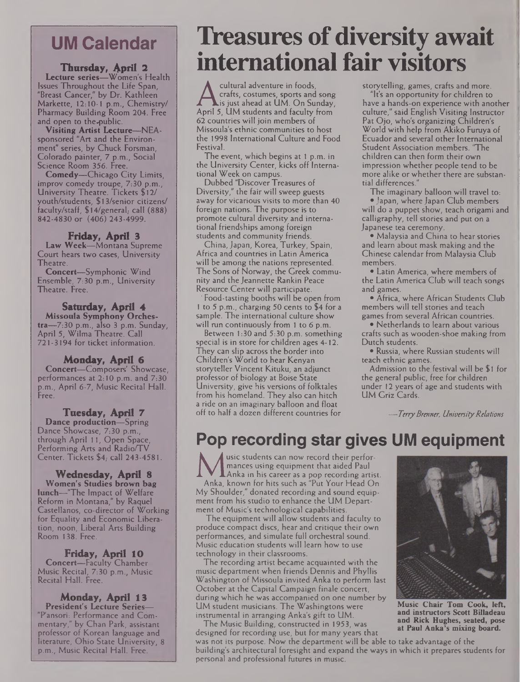# **UM Calendar**

#### **Thursday, April 2 Lecture series—**Women's Health Issues Throughout the Life Span, "Breast Cancer," by Dr. Kathleen Markette, 12:10-1 p.m., Chemistry/ Pharmacy Building Room 204. Free and open to the-public.

**Visiting Artist Lecture—NEA**sponsored "Art and the Environment" series, by Chuck Foreman, Colorado painter, 7 p.m., Social Science Room 356. Free.

**Comedy—**Chicago City Limits, improv comedy troupe, 7:30 p.m., University Theatre. Tickets \$12/ youth/students, \$13/senior citizens/ faculty/staff, \$14/general; call (888) 842-4830 or (406) 243-4999.

#### **Friday, April 3**

**Law Week—**Montana Supreme Court hears two cases, University Theatre.

**Concert—**Symphonic Wind Ensemble, 7:30 p.m., University Theatre. Free.

**Saturday, April 4 Missoula Symphony Orches**tra—7:30 p.m., also 3 p.m. Sunday, April 5, Wilma Theatre. Call 721-3194 for ticket information.

#### **Monday, April 6**

**Concert—**Composers' Showcase, performances at 2:10 p.m. and 7:30 p.m., April 6-7, Music Recital Hall. Free.

**Tuesday, April 7 Dance production—**Spring Dance Showcase, 7:30 p.m., through April 11, Open Space, Performing Arts and Radio/TV Center. Tickets \$4; call 243-4581.

**Wednesday, April 8 Women's Studies brown bag lunch—**'The Impact of Welfare Reform in Montana," by Raquel Castellanos, co-director of Working for Equality and Economic Liberation, noon, Liberal Arts Building Room 138. Free.

**Friday, April 10 Concert—**Faculty Chamber Music Recital, 7:30 p.m., Music Recital Hall. Free.

**Monday, April 13 President's Lecture Series—** "Pansori: Performance and Commentary," by Chan Park, assistant professor of Korean language and literature, Ohio State University, 8 p.m., Music Recital Hall. Free.

# **Treasures ofdiversity await international fair visitors**

A crafts, costumes, sports and song<br>
is just ahead at UM. On Sunday,<br>
April 5, UM students and faculty from<br>
62 countries will join members of cultural adventure in foods, crafts, costumes, sports and song  $\blacktriangle$ is just ahead at  $\sf UM$ . On Sunday, 62 countries will join members of Missoula's ethnic communities to host the 1998 International Culture and Food Festival.

The event, which begins at <sup>1</sup> p.m. in the University Center, kicks off International Week on campus.

Dubbed "Discover Treasures of Diversity," the fair will sweep guests away for vicarious visits to more than 40 foreign nations. The purpose is to promote cultural diversity and international friendships among foreign students and community friends.

China, Japan, Korea, Turkey, Spain, Africa and countries in Latin America will be among the nations represented. The Sons of Norway, the Greek community and the Jeannette Rankin Peace Resource Center will participate.

Food-tasting booths will be open from <sup>1</sup> to 5 p.m., charging 50 cents to \$4 for a sample. The international culture show will run continuously from 1 to 6 p.m.

Between 1:30 and 5:30 p.m. something special is in store for children ages 4-12. They can slip across the border into Children's World to hear Kenyan storyteller Vincent Kituku, an adjunct professor of biology at Boise State University, give his versions of folktales from his homeland. They also can hitch a ride on an imaginary balloon and float off to half a dozen different countries for

storytelling, games, crafts and more. "It's an opportunity for children to have a hands-on experience with another culture," said English Visiting Instructor Pat Ojo, who's organizing Children's World with help from Akiko Furuya of Ecuador and several other International Student Association members. "The children can then form their own impression whether people tend to be more alike or whether there are substantial differences."

The imaginary balloon will travel to: • Japan, where Japan Club members will do a puppet show, teach origami and calligraphy, tell stories and put on a Japanese tea ceremony.

• Malaysia and China to hear stories and learn about mask making and the Chinese calendar from Malaysia Club members.

• Latin America, where members of the Latin America Club will teach songs and games.

• Africa, where African Students Club members will tell stories and teach games from several African countries.

• Netherlands to learn about various crafts such as wooden-shoe making from Dutch students.

• Russia, where Russian students will teach ethnic games.

Admission to the festival will be \$1 for the general public, free for children under 12 years of age and students with UM Griz Cards.

*—TerryBrenner, UniversityRelations*

# **Pop recording star gives UM equipment**

**M** mances using equipment that aided Paul<br>Anka, known for hits such as "Put Your Head On<br>My Shoulder." donated recording and sound equip. usic students can now record their performances using equipment that aided Paul Anka in his career as a pop recording artist. My Shoulder," donated recording and sound equipment from his studio to enhance the UM Department of Music's technological capabilities.

The equipment will allow students and faculty to produce compact discs, hear and critique their own performances, and simulate full orchestral sound. Music education students will learn how to use technology in their classrooms.

The recording artist became acquainted with the music department when friends Dennis and Phyllis Washington of Missoula invited Anka to perform last October at the Capital Campaign finale concert, during which he was accompanied on one number by UM student musicians. The Washingtons were instrumental in arranging Anka's gift to UM.

The Music Building, constructed in 1953, was designed for recording use, but for many years that



**Music Chair Tom Cook, left, and instructors Scott Billadeau and Rick Hughes, seated, pose at Paul Anka's mixing board.**

was not its purpose. Now the department will be able to take advantage of the building's architectural foresight and expand the ways in which it prepares students for personal and professional futures in music.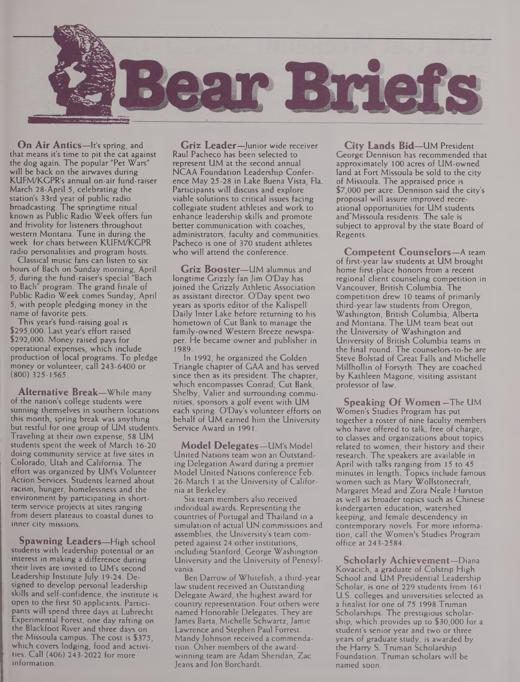

**On Air Antics—**It's spring, and that means it's time to pit the cat against the dog again. The popular "Pet Wars" will be back on the airwaves during KUFM/KGPR's annual on-air fund-raiser March 28-April 5, celebrating the station's 33rd year of public radio broadcasting. The springtime ritual known as Public Radio Week offers fun and frivolity for listeners throughout western Montana. Tune in during the week for chats between KUFM/KGPR radio personalities and program hosts.

Classical music fans can listen to six hours of Bach on Sunday morning, April 5, during the fund-raiser's special "Bach to Bach" program. The grand finale of Public Radio Week comes Sunday, April 5, with people pledging money in the name of favorite pets.

This year's fund-raising goal is \$295,000. Last year's effort raised \$292,000. Money raised pays for operational expenses, which include production of local programs. To pledge money or volunteer, call 243-6400 or (800) 325-1565.

**Alternative Break—**While many of the nation's college students were sunning themselves in southern locations this month, spring break was anything but restful for one group of UM students. Traveling at their own expense, 58 UM students spent the week of March 16-20 doing community service at five sites in Colorado, Utah and California. The effort was organized by UM's Volunteer Action Services. Students learned about racism, hunger, homelessness and the environment by participating in shortterm service projects at sites ranging from desert plateaus to coastal dunes to inner city missions.

**Spawning Leaders—**High school students with leadership potential or an interest in making a difference during their lives are invited to UM's second Leadership Institute July 19-24. Designed to develop personal leadership skills and self-confidence, the institute is open to the first 50 applicants. Participants will spend three days at Lubrecht Experimental Forest, one day rafting on the Blackfoot River and three days on the Missoula campus. The cost is \$375, which covers lodging, food and activities. Call (406) 243-2022 for more information.

**Griz Leader—**Junior wide receiver Raul Pacheco has been selected to represent UM at the second annual NCAA Foundation Leadership Conference May 25-28 in Lake Buena Vista, Fla. Participants will discuss and explore viable solutions to critical issues facing collegiate student athletes and work to enhance leadership skills and promote better communication with coaches, administrators, faculty and communities. Pacheco is one of 370 student athletes who will attend the conference.

**Griz Booster—**UM alumnus and longtime Grizzly fan Jim O'Day has joined the Grizzly Athletic Association as assistant director. O'Day spent two years as sports editor of the Kalispell Daily Inter Lake before returning to his hometown of Cut Bank to manage the family-owned Western Breeze newspaper. He became owner and publisher in 1989.

In 1992, he organized the Golden Triangle chapter of GAA and has served since then as its president. The chapter which encompasses Conrad, Cut Bank, Shelby, Valier and surrounding communities, sponsors a golf event with UM each spring. O'Day's volunteer efforts on behalf of UM earned him the University Service Award in 1991.

**Model Delegates—**UM's Model United Nations team won an Outstanding Delegation Award during a premier Model United Nations conference Feb. 26-March <sup>1</sup> at the University of California at Berkeley.

Six team members also received individual awards. Representing the countries of Portugal and Thailand in a simulation of actual UN commissions and assemblies, the University's team competed against 24 other institutions, including Stanford, George Washington University and the University of Pennsylvania.

Ben Darrow of Whitefish, a third-year law student received an Outstanding Delegate Award, the highest award for country representation. Four others were named Honorable Delegates. They are James Barta, Michelle Schwartz,Jamie Lawrence and Stephen Paul Forrest. Mandy Johnson received a commendation. Other members of the awardwinning team are Adam Sheridan, Zac Jeans and Jon Borchardt.

**City Lands Bid—**UM President George Dennison has recommended that approximately 100 acres of UM-owned land at Fort Missoula be sold to the city of Missoula. The appraised price is \$7,000 per acre. Dennison said the city's proposal will assure improved recreational opportunities for UM students and'Missoula residents. The sale is subject to approval by the state Board of Regents.

**Competent Counselors—**A team of first-year law students at UM brought home first-place honors from a recent regional client counseling competition in Vancouver, British Columbia. The competition drew 10 teams of primarily third-year law students from Oregon, Washington, British Columbia, Alberta and Montana. The UM team beat out the University of Washington and University of British Columbia teams in the final round. The counselors-to-be are Steve Bolstad of Great Falls and Michelle Millhollin of Forsyth. They are coached by Kathleen Magone, visiting assistant professor of law.

**Speaking Of Women** —The UM Women's Studies Program has put together a roster of nine faculty members who have offered to talk, free of charge, to classes and organizations about topics related to women, their history and their research. The speakers are available in April with talks ranging from 15 to 45 minutes in length. Topics include famous women such as Mary Wollstonecraft, Margaret Mead and Zora Neale Hurston as well as broader topics such as Chinese kindergarten education, watershed keeping, and female descendency in contemporary novels. For more information, call the Women's Studies Program office at 243-2584.

**Scholarly Achievement—**Diana Kovacich, a graduate of Colstrip High School and UM Presidential Leadership Scholar, is one of 229 students from 161 U.S. colleges and universities selected as a finalist for one of 75 1998 Truman Scholarships. The prestigious scholarship, which provides up to \$30,000 for a student's senior year and two or three years of graduate study, is awarded by the Harry S. Truman Scholarship Foundation. Truman scholars will be named soon.